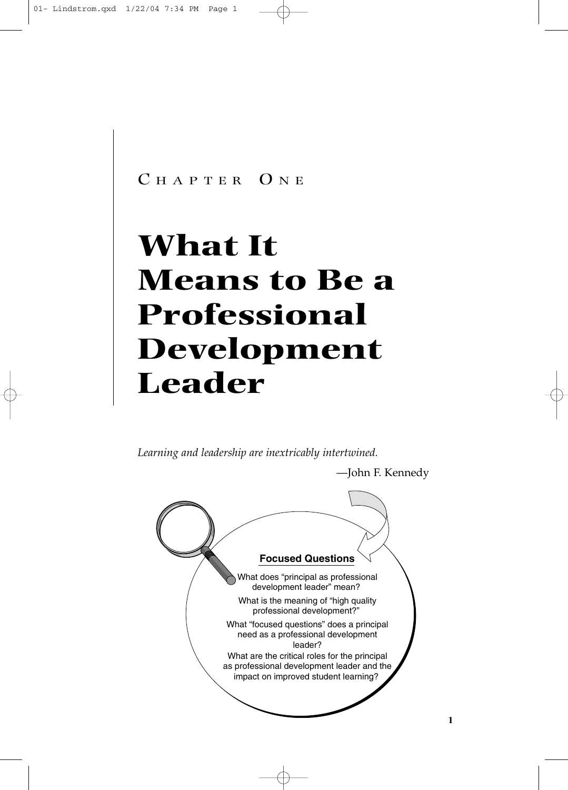# C HAPTER O N E

# **What It Means to Be a Professional Development Leader**

*Learning and leadership are inextricably intertwined.*

—John F. Kennedy

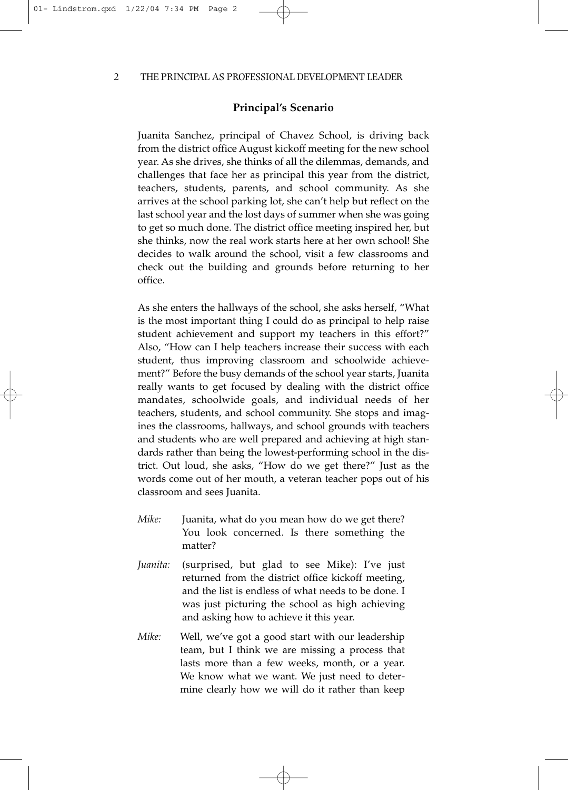#### **Principal's Scenario**

Juanita Sanchez, principal of Chavez School, is driving back from the district office August kickoff meeting for the new school year. As she drives, she thinks of all the dilemmas, demands, and challenges that face her as principal this year from the district, teachers, students, parents, and school community. As she arrives at the school parking lot, she can't help but reflect on the last school year and the lost days of summer when she was going to get so much done. The district office meeting inspired her, but she thinks, now the real work starts here at her own school! She decides to walk around the school, visit a few classrooms and check out the building and grounds before returning to her office.

As she enters the hallways of the school, she asks herself, "What is the most important thing I could do as principal to help raise student achievement and support my teachers in this effort?" Also, "How can I help teachers increase their success with each student, thus improving classroom and schoolwide achievement?" Before the busy demands of the school year starts, Juanita really wants to get focused by dealing with the district office mandates, schoolwide goals, and individual needs of her teachers, students, and school community. She stops and imagines the classrooms, hallways, and school grounds with teachers and students who are well prepared and achieving at high standards rather than being the lowest-performing school in the district. Out loud, she asks, "How do we get there?" Just as the words come out of her mouth, a veteran teacher pops out of his classroom and sees Juanita.

- *Mike:* Juanita, what do you mean how do we get there? You look concerned. Is there something the matter?
- *Juanita:* (surprised, but glad to see Mike): I've just returned from the district office kickoff meeting, and the list is endless of what needs to be done. I was just picturing the school as high achieving and asking how to achieve it this year.
- *Mike:* Well, we've got a good start with our leadership team, but I think we are missing a process that lasts more than a few weeks, month, or a year. We know what we want. We just need to determine clearly how we will do it rather than keep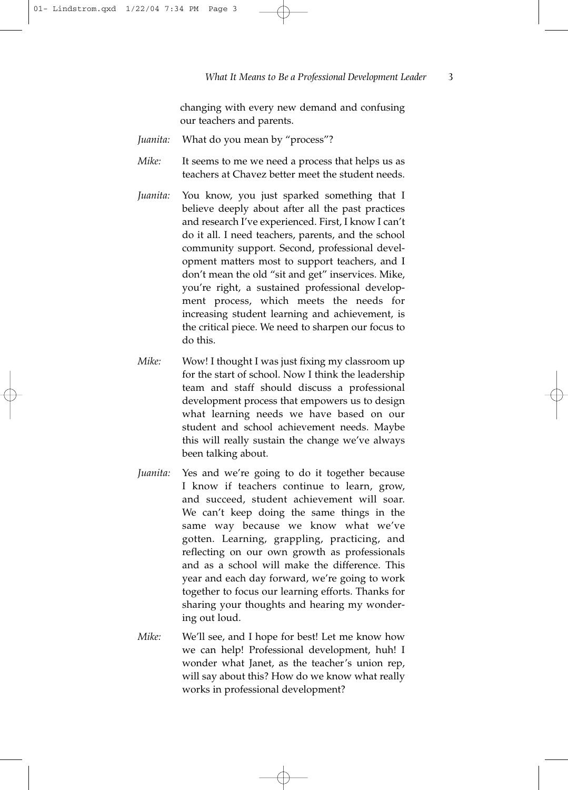changing with every new demand and confusing our teachers and parents.

- *Juanita:* What do you mean by "process"?
- *Mike:* It seems to me we need a process that helps us as teachers at Chavez better meet the student needs.
- *Juanita:* You know, you just sparked something that I believe deeply about after all the past practices and research I've experienced. First, I know I can't do it all. I need teachers, parents, and the school community support. Second, professional development matters most to support teachers, and I don't mean the old "sit and get" inservices. Mike, you're right, a sustained professional development process, which meets the needs for increasing student learning and achievement, is the critical piece. We need to sharpen our focus to do this.
- *Mike:* Wow! I thought I was just fixing my classroom up for the start of school. Now I think the leadership team and staff should discuss a professional development process that empowers us to design what learning needs we have based on our student and school achievement needs. Maybe this will really sustain the change we've always been talking about.
- *Juanita:* Yes and we're going to do it together because I know if teachers continue to learn, grow, and succeed, student achievement will soar. We can't keep doing the same things in the same way because we know what we've gotten. Learning, grappling, practicing, and reflecting on our own growth as professionals and as a school will make the difference. This year and each day forward, we're going to work together to focus our learning efforts. Thanks for sharing your thoughts and hearing my wondering out loud.
- *Mike:* We'll see, and I hope for best! Let me know how we can help! Professional development, huh! I wonder what Janet, as the teacher's union rep, will say about this? How do we know what really works in professional development?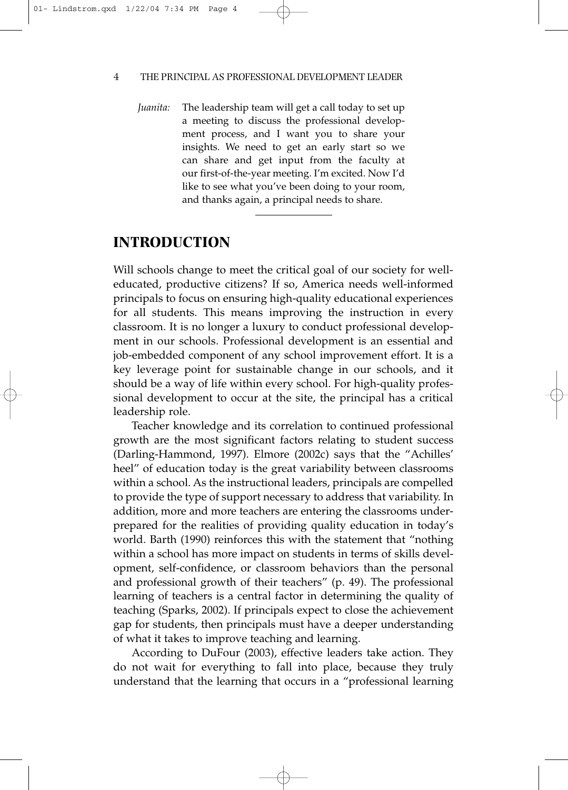*Juanita:* The leadership team will get a call today to set up a meeting to discuss the professional development process, and I want you to share your insights. We need to get an early start so we can share and get input from the faculty at our first-of-the-year meeting. I'm excited. Now I'd like to see what you've been doing to your room, and thanks again, a principal needs to share.

## **INTRODUCTION**

Will schools change to meet the critical goal of our society for welleducated, productive citizens? If so, America needs well-informed principals to focus on ensuring high-quality educational experiences for all students. This means improving the instruction in every classroom. It is no longer a luxury to conduct professional development in our schools. Professional development is an essential and job-embedded component of any school improvement effort. It is a key leverage point for sustainable change in our schools, and it should be a way of life within every school. For high-quality professional development to occur at the site, the principal has a critical leadership role.

Teacher knowledge and its correlation to continued professional growth are the most significant factors relating to student success (Darling-Hammond, 1997). Elmore (2002c) says that the "Achilles' heel" of education today is the great variability between classrooms within a school. As the instructional leaders, principals are compelled to provide the type of support necessary to address that variability. In addition, more and more teachers are entering the classrooms underprepared for the realities of providing quality education in today's world. Barth (1990) reinforces this with the statement that "nothing within a school has more impact on students in terms of skills development, self-confidence, or classroom behaviors than the personal and professional growth of their teachers" (p. 49). The professional learning of teachers is a central factor in determining the quality of teaching (Sparks, 2002). If principals expect to close the achievement gap for students, then principals must have a deeper understanding of what it takes to improve teaching and learning.

According to DuFour (2003), effective leaders take action. They do not wait for everything to fall into place, because they truly understand that the learning that occurs in a "professional learning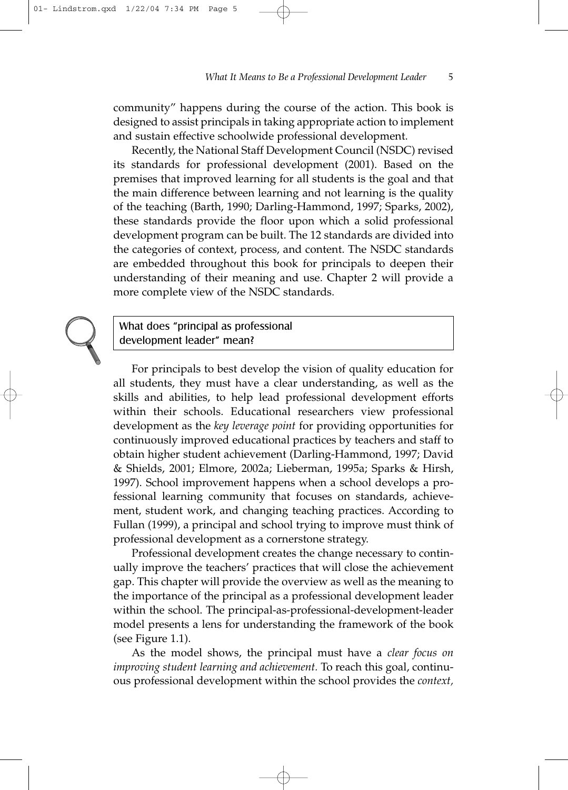community" happens during the course of the action. This book is designed to assist principals in taking appropriate action to implement and sustain effective schoolwide professional development.

Recently, the National Staff Development Council (NSDC) revised its standards for professional development (2001). Based on the premises that improved learning for all students is the goal and that the main difference between learning and not learning is the quality of the teaching (Barth, 1990; Darling-Hammond, 1997; Sparks, 2002), these standards provide the floor upon which a solid professional development program can be built. The 12 standards are divided into the categories of context, process, and content. The NSDC standards are embedded throughout this book for principals to deepen their understanding of their meaning and use. Chapter 2 will provide a more complete view of the NSDC standards.

## What does "principal as professional development leader" mean?

For principals to best develop the vision of quality education for all students, they must have a clear understanding, as well as the skills and abilities, to help lead professional development efforts within their schools. Educational researchers view professional development as the *key leverage point* for providing opportunities for continuously improved educational practices by teachers and staff to obtain higher student achievement (Darling-Hammond, 1997; David & Shields, 2001; Elmore, 2002a; Lieberman, 1995a; Sparks & Hirsh, 1997). School improvement happens when a school develops a professional learning community that focuses on standards, achievement, student work, and changing teaching practices. According to Fullan (1999), a principal and school trying to improve must think of professional development as a cornerstone strategy.

Professional development creates the change necessary to continually improve the teachers' practices that will close the achievement gap. This chapter will provide the overview as well as the meaning to the importance of the principal as a professional development leader within the school. The principal-as-professional-development-leader model presents a lens for understanding the framework of the book (see Figure 1.1).

As the model shows, the principal must have a *clear focus on improving student learning and achievement.* To reach this goal, continuous professional development within the school provides the *context,*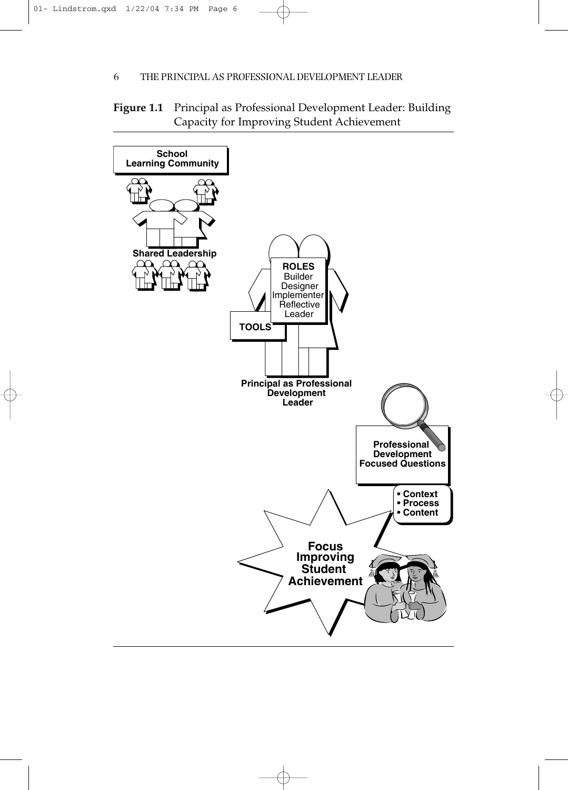

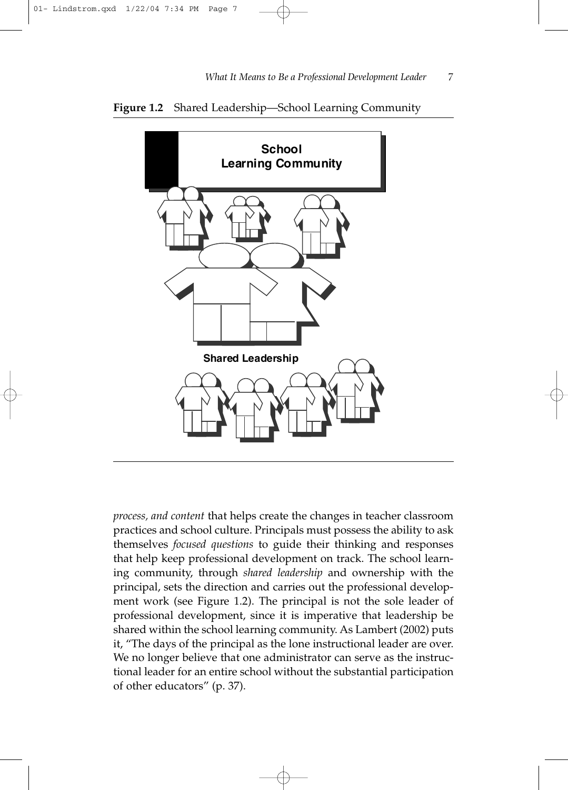



*process, and content* that helps create the changes in teacher classroom practices and school culture. Principals must possess the ability to ask themselves *focused questions* to guide their thinking and responses that help keep professional development on track. The school learning community, through *shared leadership* and ownership with the principal, sets the direction and carries out the professional development work (see Figure 1.2). The principal is not the sole leader of professional development, since it is imperative that leadership be shared within the school learning community. As Lambert (2002) puts it, "The days of the principal as the lone instructional leader are over. We no longer believe that one administrator can serve as the instructional leader for an entire school without the substantial participation of other educators" (p. 37).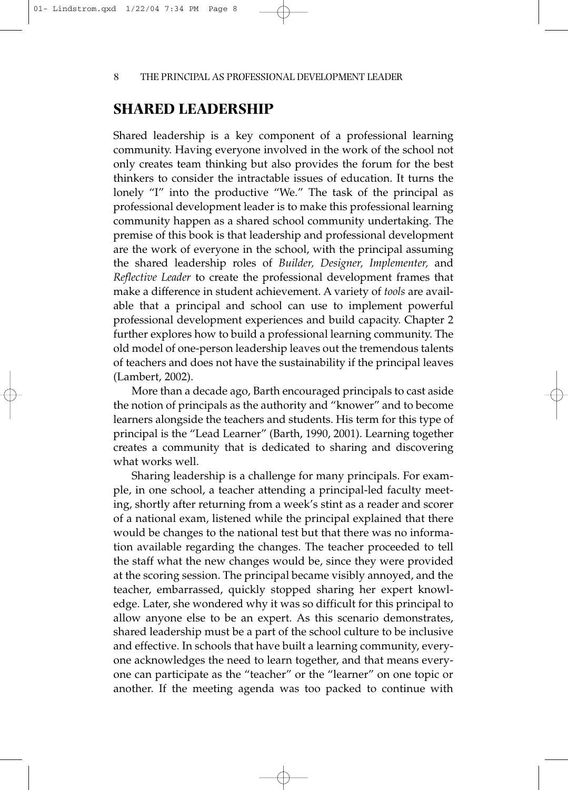## **SHARED LEADERSHIP**

Shared leadership is a key component of a professional learning community. Having everyone involved in the work of the school not only creates team thinking but also provides the forum for the best thinkers to consider the intractable issues of education. It turns the lonely "I" into the productive "We." The task of the principal as professional development leader is to make this professional learning community happen as a shared school community undertaking. The premise of this book is that leadership and professional development are the work of everyone in the school, with the principal assuming the shared leadership roles of *Builder, Designer, Implementer,* and *Reflective Leader* to create the professional development frames that make a difference in student achievement. A variety of *tools* are available that a principal and school can use to implement powerful professional development experiences and build capacity. Chapter 2 further explores how to build a professional learning community. The old model of one-person leadership leaves out the tremendous talents of teachers and does not have the sustainability if the principal leaves (Lambert, 2002).

More than a decade ago, Barth encouraged principals to cast aside the notion of principals as the authority and "knower" and to become learners alongside the teachers and students. His term for this type of principal is the "Lead Learner" (Barth, 1990, 2001). Learning together creates a community that is dedicated to sharing and discovering what works well.

Sharing leadership is a challenge for many principals. For example, in one school, a teacher attending a principal-led faculty meeting, shortly after returning from a week's stint as a reader and scorer of a national exam, listened while the principal explained that there would be changes to the national test but that there was no information available regarding the changes. The teacher proceeded to tell the staff what the new changes would be, since they were provided at the scoring session. The principal became visibly annoyed, and the teacher, embarrassed, quickly stopped sharing her expert knowledge. Later, she wondered why it was so difficult for this principal to allow anyone else to be an expert. As this scenario demonstrates, shared leadership must be a part of the school culture to be inclusive and effective. In schools that have built a learning community, everyone acknowledges the need to learn together, and that means everyone can participate as the "teacher" or the "learner" on one topic or another. If the meeting agenda was too packed to continue with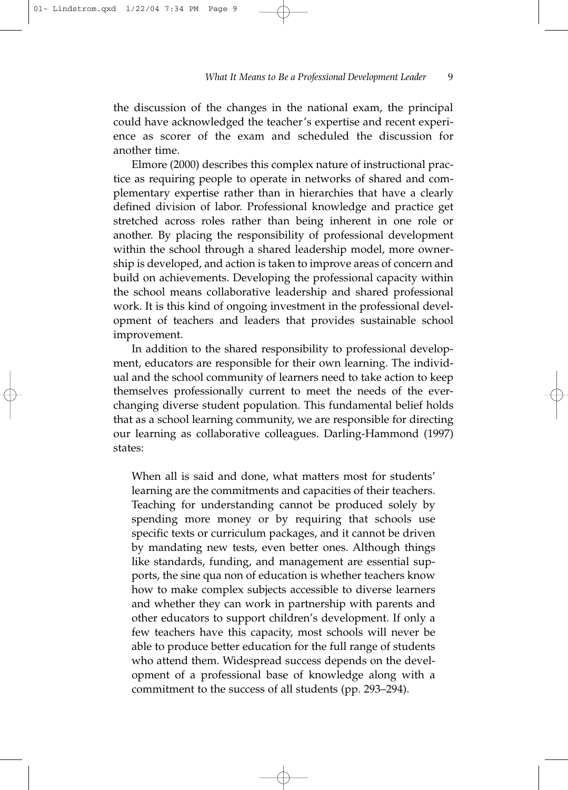the discussion of the changes in the national exam, the principal could have acknowledged the teacher's expertise and recent experience as scorer of the exam and scheduled the discussion for another time.

Elmore (2000) describes this complex nature of instructional practice as requiring people to operate in networks of shared and complementary expertise rather than in hierarchies that have a clearly defined division of labor. Professional knowledge and practice get stretched across roles rather than being inherent in one role or another. By placing the responsibility of professional development within the school through a shared leadership model, more ownership is developed, and action is taken to improve areas of concern and build on achievements. Developing the professional capacity within the school means collaborative leadership and shared professional work. It is this kind of ongoing investment in the professional development of teachers and leaders that provides sustainable school improvement.

In addition to the shared responsibility to professional development, educators are responsible for their own learning. The individual and the school community of learners need to take action to keep themselves professionally current to meet the needs of the everchanging diverse student population. This fundamental belief holds that as a school learning community, we are responsible for directing our learning as collaborative colleagues. Darling-Hammond (1997) states:

When all is said and done, what matters most for students' learning are the commitments and capacities of their teachers. Teaching for understanding cannot be produced solely by spending more money or by requiring that schools use specific texts or curriculum packages, and it cannot be driven by mandating new tests, even better ones. Although things like standards, funding, and management are essential supports, the sine qua non of education is whether teachers know how to make complex subjects accessible to diverse learners and whether they can work in partnership with parents and other educators to support children's development. If only a few teachers have this capacity, most schools will never be able to produce better education for the full range of students who attend them. Widespread success depends on the development of a professional base of knowledge along with a commitment to the success of all students (pp. 293–294).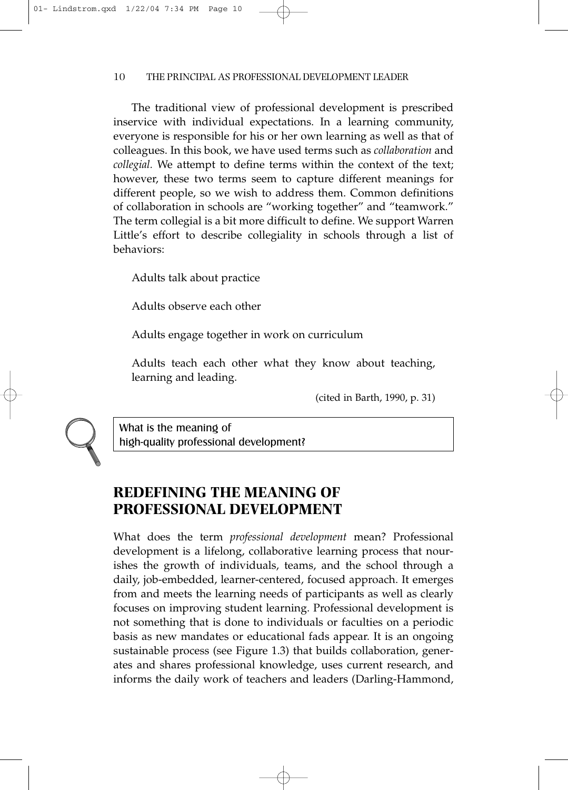The traditional view of professional development is prescribed inservice with individual expectations. In a learning community, everyone is responsible for his or her own learning as well as that of colleagues. In this book, we have used terms such as *collaboration* and *collegial.* We attempt to define terms within the context of the text; however, these two terms seem to capture different meanings for different people, so we wish to address them. Common definitions of collaboration in schools are "working together" and "teamwork." The term collegial is a bit more difficult to define. We support Warren Little's effort to describe collegiality in schools through a list of behaviors:

Adults talk about practice

Adults observe each other

Adults engage together in work on curriculum

Adults teach each other what they know about teaching, learning and leading.

(cited in Barth, 1990, p. 31)

What is the meaning of high-quality professional development?

# **REDEFINING THE MEANING OF PROFESSIONAL DEVELOPMENT**

What does the term *professional development* mean? Professional development is a lifelong, collaborative learning process that nourishes the growth of individuals, teams, and the school through a daily, job-embedded, learner-centered, focused approach. It emerges from and meets the learning needs of participants as well as clearly focuses on improving student learning. Professional development is not something that is done to individuals or faculties on a periodic basis as new mandates or educational fads appear. It is an ongoing sustainable process (see Figure 1.3) that builds collaboration, generates and shares professional knowledge, uses current research, and informs the daily work of teachers and leaders (Darling-Hammond,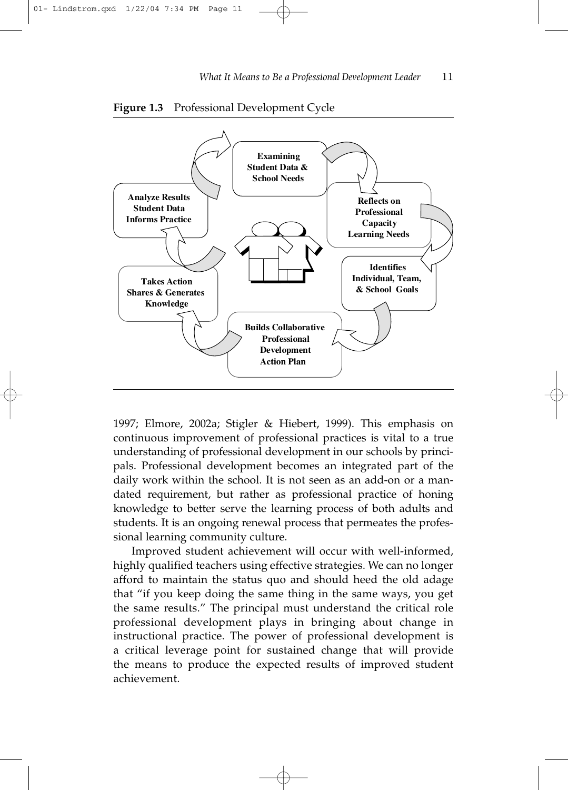

#### **Figure 1.3** Professional Development Cycle

1997; Elmore, 2002a; Stigler & Hiebert, 1999). This emphasis on continuous improvement of professional practices is vital to a true understanding of professional development in our schools by principals. Professional development becomes an integrated part of the daily work within the school. It is not seen as an add-on or a mandated requirement, but rather as professional practice of honing knowledge to better serve the learning process of both adults and students. It is an ongoing renewal process that permeates the professional learning community culture.

Improved student achievement will occur with well-informed, highly qualified teachers using effective strategies. We can no longer afford to maintain the status quo and should heed the old adage that "if you keep doing the same thing in the same ways, you get the same results." The principal must understand the critical role professional development plays in bringing about change in instructional practice. The power of professional development is a critical leverage point for sustained change that will provide the means to produce the expected results of improved student achievement.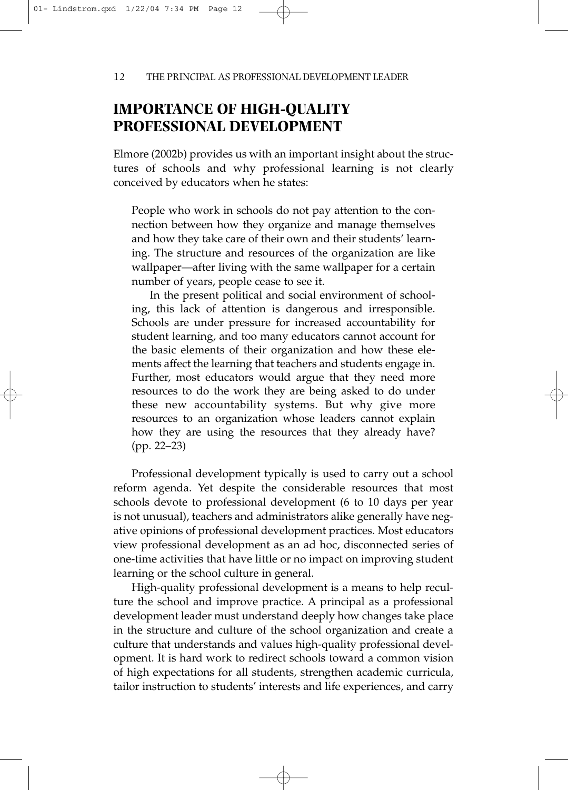# **IMPORTANCE OF HIGH-QUALITY PROFESSIONAL DEVELOPMENT**

Elmore (2002b) provides us with an important insight about the structures of schools and why professional learning is not clearly conceived by educators when he states:

People who work in schools do not pay attention to the connection between how they organize and manage themselves and how they take care of their own and their students' learning. The structure and resources of the organization are like wallpaper—after living with the same wallpaper for a certain number of years, people cease to see it.

In the present political and social environment of schooling, this lack of attention is dangerous and irresponsible. Schools are under pressure for increased accountability for student learning, and too many educators cannot account for the basic elements of their organization and how these elements affect the learning that teachers and students engage in. Further, most educators would argue that they need more resources to do the work they are being asked to do under these new accountability systems. But why give more resources to an organization whose leaders cannot explain how they are using the resources that they already have? (pp. 22–23)

Professional development typically is used to carry out a school reform agenda. Yet despite the considerable resources that most schools devote to professional development (6 to 10 days per year is not unusual), teachers and administrators alike generally have negative opinions of professional development practices. Most educators view professional development as an ad hoc, disconnected series of one-time activities that have little or no impact on improving student learning or the school culture in general.

High-quality professional development is a means to help reculture the school and improve practice. A principal as a professional development leader must understand deeply how changes take place in the structure and culture of the school organization and create a culture that understands and values high-quality professional development. It is hard work to redirect schools toward a common vision of high expectations for all students, strengthen academic curricula, tailor instruction to students' interests and life experiences, and carry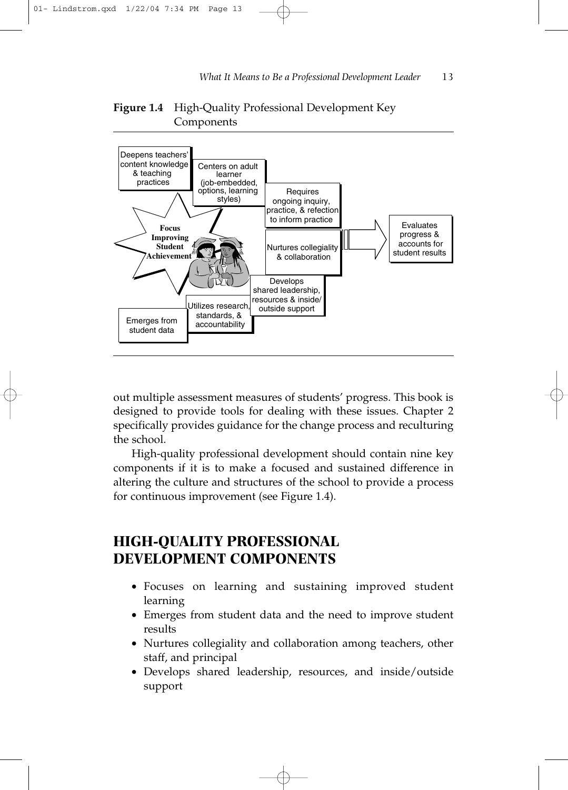

## **Figure 1.4** High-Quality Professional Development Key Components

out multiple assessment measures of students' progress. This book is designed to provide tools for dealing with these issues. Chapter 2 specifically provides guidance for the change process and reculturing the school.

High-quality professional development should contain nine key components if it is to make a focused and sustained difference in altering the culture and structures of the school to provide a process for continuous improvement (see Figure 1.4).

# **HIGH-QUALITY PROFESSIONAL DEVELOPMENT COMPONENTS**

- Focuses on learning and sustaining improved student learning
- Emerges from student data and the need to improve student results
- Nurtures collegiality and collaboration among teachers, other staff, and principal
- Develops shared leadership, resources, and inside/outside support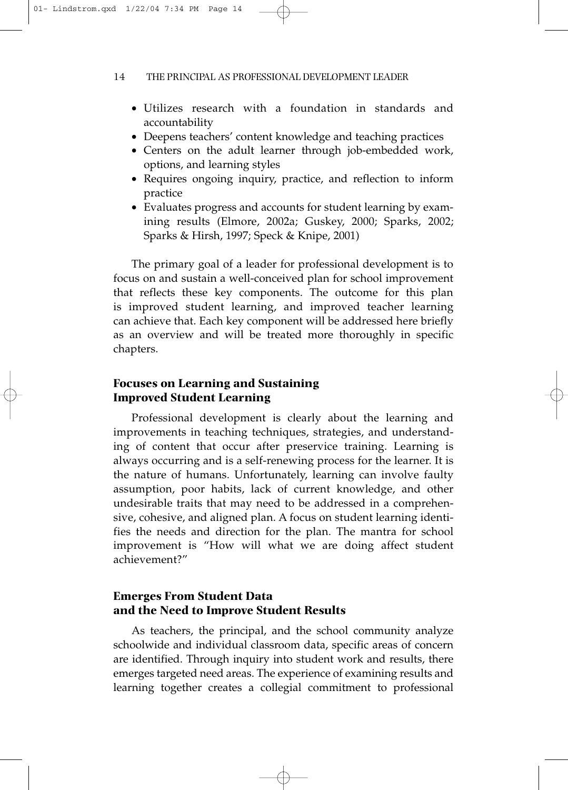- Utilizes research with a foundation in standards and accountability
- Deepens teachers' content knowledge and teaching practices
- Centers on the adult learner through job-embedded work, options, and learning styles
- Requires ongoing inquiry, practice, and reflection to inform practice
- Evaluates progress and accounts for student learning by examining results (Elmore, 2002a; Guskey, 2000; Sparks, 2002; Sparks & Hirsh, 1997; Speck & Knipe, 2001)

The primary goal of a leader for professional development is to focus on and sustain a well-conceived plan for school improvement that reflects these key components. The outcome for this plan is improved student learning, and improved teacher learning can achieve that. Each key component will be addressed here briefly as an overview and will be treated more thoroughly in specific chapters.

## **Focuses on Learning and Sustaining Improved Student Learning**

Professional development is clearly about the learning and improvements in teaching techniques, strategies, and understanding of content that occur after preservice training. Learning is always occurring and is a self-renewing process for the learner. It is the nature of humans. Unfortunately, learning can involve faulty assumption, poor habits, lack of current knowledge, and other undesirable traits that may need to be addressed in a comprehensive, cohesive, and aligned plan. A focus on student learning identifies the needs and direction for the plan. The mantra for school improvement is "How will what we are doing affect student achievement?"

## **Emerges From Student Data and the Need to Improve Student Results**

As teachers, the principal, and the school community analyze schoolwide and individual classroom data, specific areas of concern are identified. Through inquiry into student work and results, there emerges targeted need areas. The experience of examining results and learning together creates a collegial commitment to professional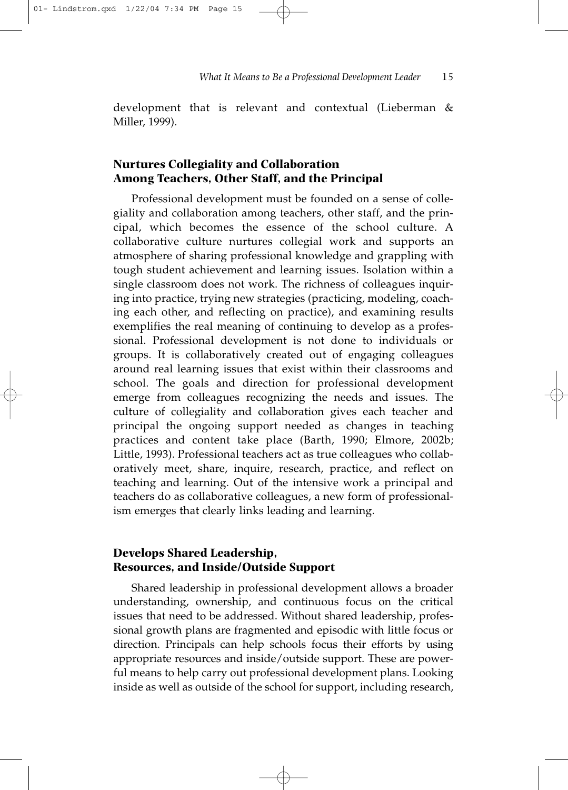development that is relevant and contextual (Lieberman & Miller, 1999).

## **Nurtures Collegiality and Collaboration Among Teachers, Other Staff, and the Principal**

Professional development must be founded on a sense of collegiality and collaboration among teachers, other staff, and the principal, which becomes the essence of the school culture. A collaborative culture nurtures collegial work and supports an atmosphere of sharing professional knowledge and grappling with tough student achievement and learning issues. Isolation within a single classroom does not work. The richness of colleagues inquiring into practice, trying new strategies (practicing, modeling, coaching each other, and reflecting on practice), and examining results exemplifies the real meaning of continuing to develop as a professional. Professional development is not done to individuals or groups. It is collaboratively created out of engaging colleagues around real learning issues that exist within their classrooms and school. The goals and direction for professional development emerge from colleagues recognizing the needs and issues. The culture of collegiality and collaboration gives each teacher and principal the ongoing support needed as changes in teaching practices and content take place (Barth, 1990; Elmore, 2002b; Little, 1993). Professional teachers act as true colleagues who collaboratively meet, share, inquire, research, practice, and reflect on teaching and learning. Out of the intensive work a principal and teachers do as collaborative colleagues, a new form of professionalism emerges that clearly links leading and learning.

## **Develops Shared Leadership, Resources, and Inside/Outside Support**

Shared leadership in professional development allows a broader understanding, ownership, and continuous focus on the critical issues that need to be addressed. Without shared leadership, professional growth plans are fragmented and episodic with little focus or direction. Principals can help schools focus their efforts by using appropriate resources and inside/outside support. These are powerful means to help carry out professional development plans. Looking inside as well as outside of the school for support, including research,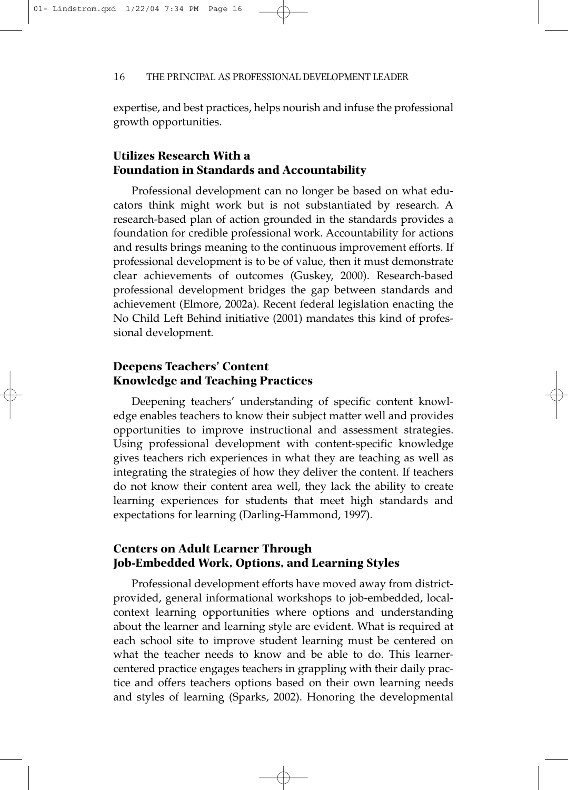expertise, and best practices, helps nourish and infuse the professional growth opportunities.

## **Utilizes Research With a Foundation in Standards and Accountability**

Professional development can no longer be based on what educators think might work but is not substantiated by research. A research-based plan of action grounded in the standards provides a foundation for credible professional work. Accountability for actions and results brings meaning to the continuous improvement efforts. If professional development is to be of value, then it must demonstrate clear achievements of outcomes (Guskey, 2000). Research-based professional development bridges the gap between standards and achievement (Elmore, 2002a). Recent federal legislation enacting the No Child Left Behind initiative (2001) mandates this kind of professional development.

## **Deepens Teachers' Content Knowledge and Teaching Practices**

Deepening teachers' understanding of specific content knowledge enables teachers to know their subject matter well and provides opportunities to improve instructional and assessment strategies. Using professional development with content-specific knowledge gives teachers rich experiences in what they are teaching as well as integrating the strategies of how they deliver the content. If teachers do not know their content area well, they lack the ability to create learning experiences for students that meet high standards and expectations for learning (Darling-Hammond, 1997).

## **Centers on Adult Learner Through Job-Embedded Work, Options, and Learning Styles**

Professional development efforts have moved away from districtprovided, general informational workshops to job-embedded, localcontext learning opportunities where options and understanding about the learner and learning style are evident. What is required at each school site to improve student learning must be centered on what the teacher needs to know and be able to do. This learnercentered practice engages teachers in grappling with their daily practice and offers teachers options based on their own learning needs and styles of learning (Sparks, 2002). Honoring the developmental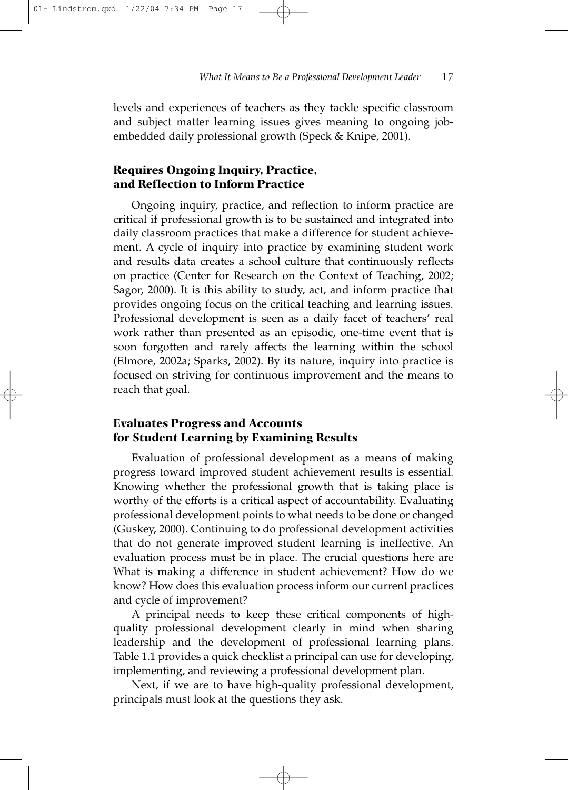levels and experiences of teachers as they tackle specific classroom and subject matter learning issues gives meaning to ongoing jobembedded daily professional growth (Speck & Knipe, 2001).

## **Requires Ongoing Inquiry, Practice, and Reflection to Inform Practice**

Ongoing inquiry, practice, and reflection to inform practice are critical if professional growth is to be sustained and integrated into daily classroom practices that make a difference for student achievement. A cycle of inquiry into practice by examining student work and results data creates a school culture that continuously reflects on practice (Center for Research on the Context of Teaching, 2002; Sagor, 2000). It is this ability to study, act, and inform practice that provides ongoing focus on the critical teaching and learning issues. Professional development is seen as a daily facet of teachers' real work rather than presented as an episodic, one-time event that is soon forgotten and rarely affects the learning within the school (Elmore, 2002a; Sparks, 2002). By its nature, inquiry into practice is focused on striving for continuous improvement and the means to reach that goal.

## **Evaluates Progress and Accounts for Student Learning by Examining Results**

Evaluation of professional development as a means of making progress toward improved student achievement results is essential. Knowing whether the professional growth that is taking place is worthy of the efforts is a critical aspect of accountability. Evaluating professional development points to what needs to be done or changed (Guskey, 2000). Continuing to do professional development activities that do not generate improved student learning is ineffective. An evaluation process must be in place. The crucial questions here are What is making a difference in student achievement? How do we know? How does this evaluation process inform our current practices and cycle of improvement?

A principal needs to keep these critical components of highquality professional development clearly in mind when sharing leadership and the development of professional learning plans. Table 1.1 provides a quick checklist a principal can use for developing, implementing, and reviewing a professional development plan.

Next, if we are to have high-quality professional development, principals must look at the questions they ask.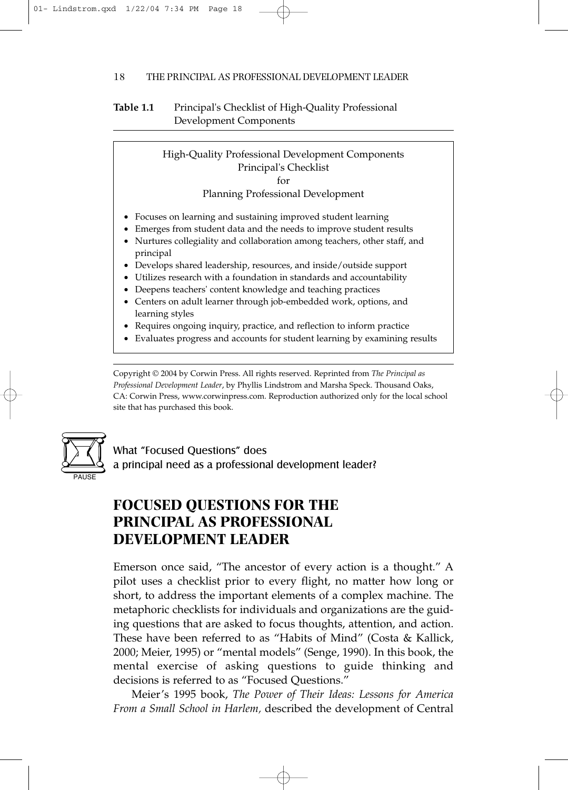### **Table 1.1** Principal's Checklist of High-Quality Professional Development Components

## High-Quality Professional Development Components Principal's Checklist

for

#### Planning Professional Development

- Focuses on learning and sustaining improved student learning
- Emerges from student data and the needs to improve student results
- Nurtures collegiality and collaboration among teachers, other staff, and principal
- Develops shared leadership, resources, and inside/outside support
- Utilizes research with a foundation in standards and accountability
- Deepens teachers' content knowledge and teaching practices
- Centers on adult learner through job-embedded work, options, and learning styles
- Requires ongoing inquiry, practice, and reflection to inform practice
- Evaluates progress and accounts for student learning by examining results

Copyright © 2004 by Corwin Press. All rights reserved. Reprinted from *The Principal as Professional Development Leader*, by Phyllis Lindstrom and Marsha Speck. Thousand Oaks, CA: Corwin Press, www.corwinpress.com. Reproduction authorized only for the local school site that has purchased this book.



What "Focused Questions" does a principal need as a professional development leader?

# **FOCUSED QUESTIONS FOR THE PRINCIPAL AS PROFESSIONAL DEVELOPMENT LEADER**

Emerson once said, "The ancestor of every action is a thought." A pilot uses a checklist prior to every flight, no matter how long or short, to address the important elements of a complex machine. The metaphoric checklists for individuals and organizations are the guiding questions that are asked to focus thoughts, attention, and action. These have been referred to as "Habits of Mind" (Costa & Kallick, 2000; Meier, 1995) or "mental models" (Senge, 1990). In this book, the mental exercise of asking questions to guide thinking and decisions is referred to as "Focused Questions."

Meier's 1995 book, *The Power of Their Ideas: Lessons for America From a Small School in Harlem,* described the development of Central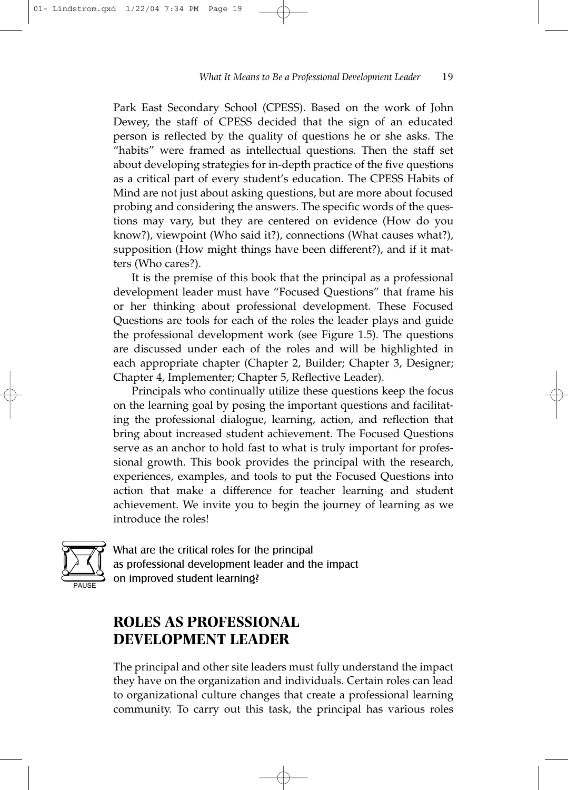Park East Secondary School (CPESS). Based on the work of John Dewey, the staff of CPESS decided that the sign of an educated person is reflected by the quality of questions he or she asks. The "habits" were framed as intellectual questions. Then the staff set about developing strategies for in-depth practice of the five questions as a critical part of every student's education. The CPESS Habits of Mind are not just about asking questions, but are more about focused probing and considering the answers. The specific words of the questions may vary, but they are centered on evidence (How do you know?), viewpoint (Who said it?), connections (What causes what?), supposition (How might things have been different?), and if it matters (Who cares?).

It is the premise of this book that the principal as a professional development leader must have "Focused Questions" that frame his or her thinking about professional development. These Focused Questions are tools for each of the roles the leader plays and guide the professional development work (see Figure 1.5). The questions are discussed under each of the roles and will be highlighted in each appropriate chapter (Chapter 2, Builder; Chapter 3, Designer; Chapter 4, Implementer; Chapter 5, Reflective Leader).

Principals who continually utilize these questions keep the focus on the learning goal by posing the important questions and facilitating the professional dialogue, learning, action, and reflection that bring about increased student achievement. The Focused Questions serve as an anchor to hold fast to what is truly important for professional growth. This book provides the principal with the research, experiences, examples, and tools to put the Focused Questions into action that make a difference for teacher learning and student achievement. We invite you to begin the journey of learning as we introduce the roles!



01- Lindstrom.qxd 1/22/04 7:34 PM

What are the critical roles for the principal as professional development leader and the impact on improved student learning?

# **ROLES AS PROFESSIONAL DEVELOPMENT LEADER**

The principal and other site leaders must fully understand the impact they have on the organization and individuals. Certain roles can lead to organizational culture changes that create a professional learning community. To carry out this task, the principal has various roles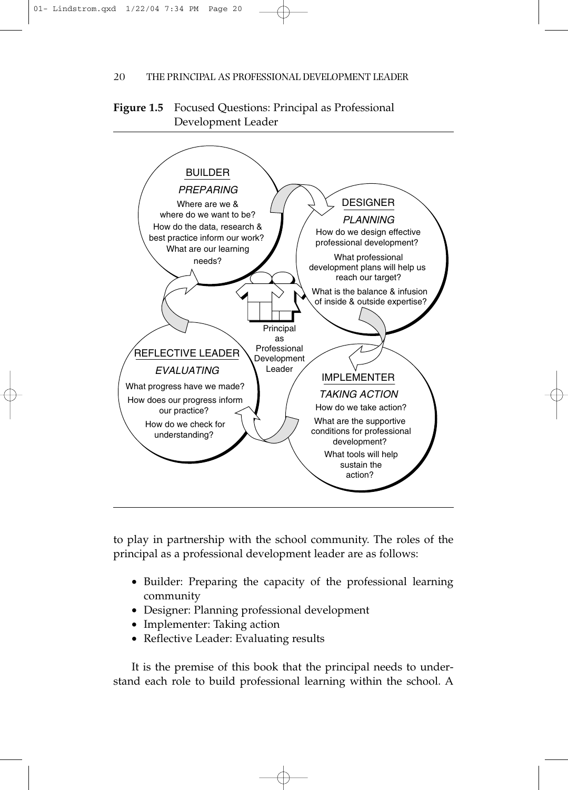

## **Figure 1.5** Focused Questions: Principal as Professional Development Leader

to play in partnership with the school community. The roles of the principal as a professional development leader are as follows:

- Builder: Preparing the capacity of the professional learning community
- Designer: Planning professional development
- Implementer: Taking action
- Reflective Leader: Evaluating results

It is the premise of this book that the principal needs to understand each role to build professional learning within the school. A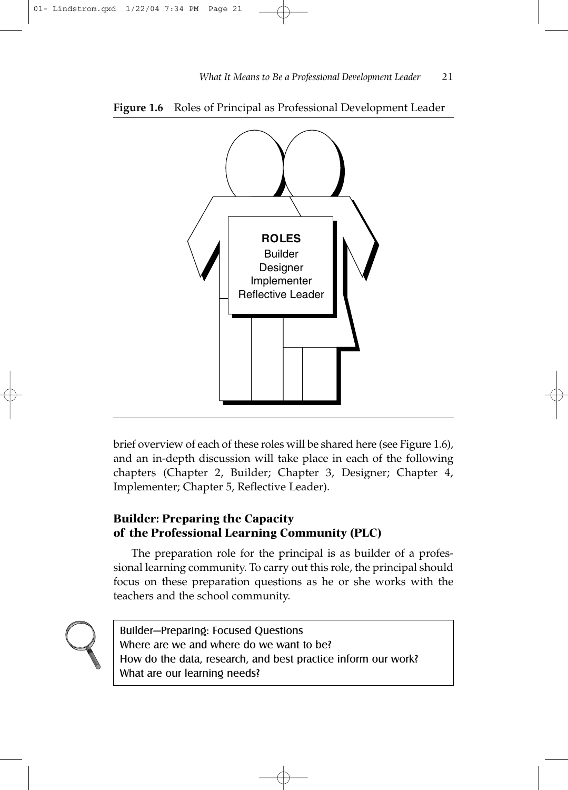



#### **Figure 1.6** Roles of Principal as Professional Development Leader

brief overview of each of these roles will be shared here (see Figure 1.6), and an in-depth discussion will take place in each of the following chapters (Chapter 2, Builder; Chapter 3, Designer; Chapter 4, Implementer; Chapter 5, Reflective Leader).

## **Builder: Preparing the Capacity of the Professional Learning Community (PLC)**

The preparation role for the principal is as builder of a professional learning community. To carry out this role, the principal should focus on these preparation questions as he or she works with the teachers and the school community.

Builder—Preparing: Focused Questions Where are we and where do we want to be? How do the data, research, and best practice inform our work? What are our learning needs?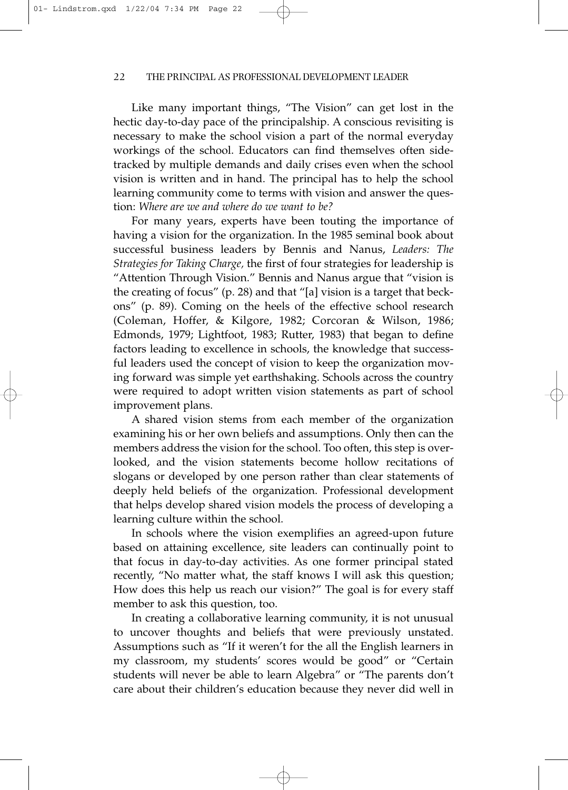Like many important things, "The Vision" can get lost in the hectic day-to-day pace of the principalship. A conscious revisiting is necessary to make the school vision a part of the normal everyday workings of the school. Educators can find themselves often sidetracked by multiple demands and daily crises even when the school vision is written and in hand. The principal has to help the school learning community come to terms with vision and answer the question: *Where are we and where do we want to be?*

For many years, experts have been touting the importance of having a vision for the organization. In the 1985 seminal book about successful business leaders by Bennis and Nanus, *Leaders: The Strategies for Taking Charge,* the first of four strategies for leadership is "Attention Through Vision." Bennis and Nanus argue that "vision is the creating of focus" (p. 28) and that "[a] vision is a target that beckons" (p. 89). Coming on the heels of the effective school research (Coleman, Hoffer, & Kilgore, 1982; Corcoran & Wilson, 1986; Edmonds, 1979; Lightfoot, 1983; Rutter, 1983) that began to define factors leading to excellence in schools, the knowledge that successful leaders used the concept of vision to keep the organization moving forward was simple yet earthshaking. Schools across the country were required to adopt written vision statements as part of school improvement plans.

A shared vision stems from each member of the organization examining his or her own beliefs and assumptions. Only then can the members address the vision for the school. Too often, this step is overlooked, and the vision statements become hollow recitations of slogans or developed by one person rather than clear statements of deeply held beliefs of the organization. Professional development that helps develop shared vision models the process of developing a learning culture within the school.

In schools where the vision exemplifies an agreed-upon future based on attaining excellence, site leaders can continually point to that focus in day-to-day activities. As one former principal stated recently, "No matter what, the staff knows I will ask this question; How does this help us reach our vision?" The goal is for every staff member to ask this question, too.

In creating a collaborative learning community, it is not unusual to uncover thoughts and beliefs that were previously unstated. Assumptions such as "If it weren't for the all the English learners in my classroom, my students' scores would be good" or "Certain students will never be able to learn Algebra" or "The parents don't care about their children's education because they never did well in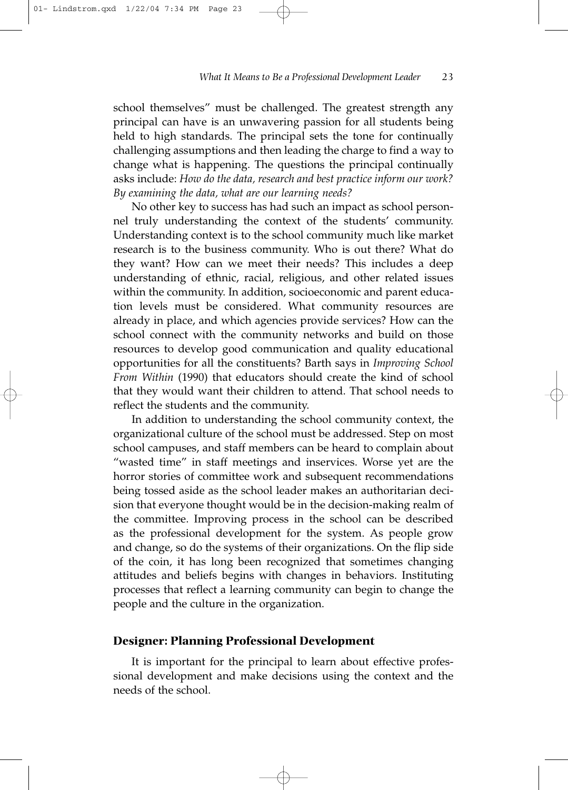school themselves" must be challenged. The greatest strength any principal can have is an unwavering passion for all students being held to high standards. The principal sets the tone for continually challenging assumptions and then leading the charge to find a way to change what is happening. The questions the principal continually asks include: *How do the data, research and best practice inform our work? By examining the data, what are our learning needs?*

No other key to success has had such an impact as school personnel truly understanding the context of the students' community. Understanding context is to the school community much like market research is to the business community. Who is out there? What do they want? How can we meet their needs? This includes a deep understanding of ethnic, racial, religious, and other related issues within the community. In addition, socioeconomic and parent education levels must be considered. What community resources are already in place, and which agencies provide services? How can the school connect with the community networks and build on those resources to develop good communication and quality educational opportunities for all the constituents? Barth says in *Improving School From Within* (1990) that educators should create the kind of school that they would want their children to attend. That school needs to reflect the students and the community.

In addition to understanding the school community context, the organizational culture of the school must be addressed. Step on most school campuses, and staff members can be heard to complain about "wasted time" in staff meetings and inservices. Worse yet are the horror stories of committee work and subsequent recommendations being tossed aside as the school leader makes an authoritarian decision that everyone thought would be in the decision-making realm of the committee. Improving process in the school can be described as the professional development for the system. As people grow and change, so do the systems of their organizations. On the flip side of the coin, it has long been recognized that sometimes changing attitudes and beliefs begins with changes in behaviors. Instituting processes that reflect a learning community can begin to change the people and the culture in the organization.

## **Designer: Planning Professional Development**

It is important for the principal to learn about effective professional development and make decisions using the context and the needs of the school.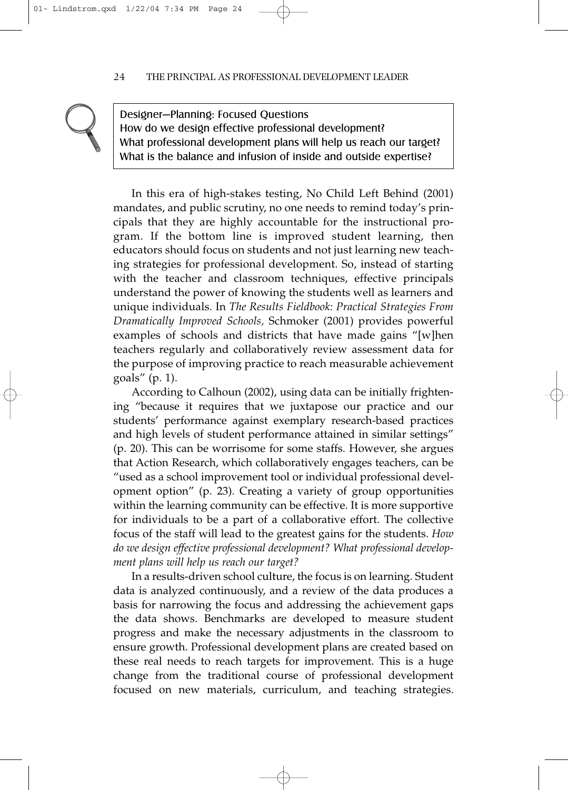

Designer—Planning: Focused Questions How do we design effective professional development? What professional development plans will help us reach our target? What is the balance and infusion of inside and outside expertise?

In this era of high-stakes testing, No Child Left Behind (2001) mandates, and public scrutiny, no one needs to remind today's principals that they are highly accountable for the instructional program. If the bottom line is improved student learning, then educators should focus on students and not just learning new teaching strategies for professional development. So, instead of starting with the teacher and classroom techniques, effective principals understand the power of knowing the students well as learners and unique individuals. In *The Results Fieldbook: Practical Strategies From Dramatically Improved Schools,* Schmoker (2001) provides powerful examples of schools and districts that have made gains "[w]hen teachers regularly and collaboratively review assessment data for the purpose of improving practice to reach measurable achievement goals" (p. 1).

According to Calhoun (2002), using data can be initially frightening "because it requires that we juxtapose our practice and our students' performance against exemplary research-based practices and high levels of student performance attained in similar settings" (p. 20). This can be worrisome for some staffs. However, she argues that Action Research, which collaboratively engages teachers, can be "used as a school improvement tool or individual professional development option" (p. 23). Creating a variety of group opportunities within the learning community can be effective. It is more supportive for individuals to be a part of a collaborative effort. The collective focus of the staff will lead to the greatest gains for the students. *How do we design effective professional development? What professional development plans will help us reach our target?*

In a results-driven school culture, the focus is on learning. Student data is analyzed continuously, and a review of the data produces a basis for narrowing the focus and addressing the achievement gaps the data shows. Benchmarks are developed to measure student progress and make the necessary adjustments in the classroom to ensure growth. Professional development plans are created based on these real needs to reach targets for improvement. This is a huge change from the traditional course of professional development focused on new materials, curriculum, and teaching strategies.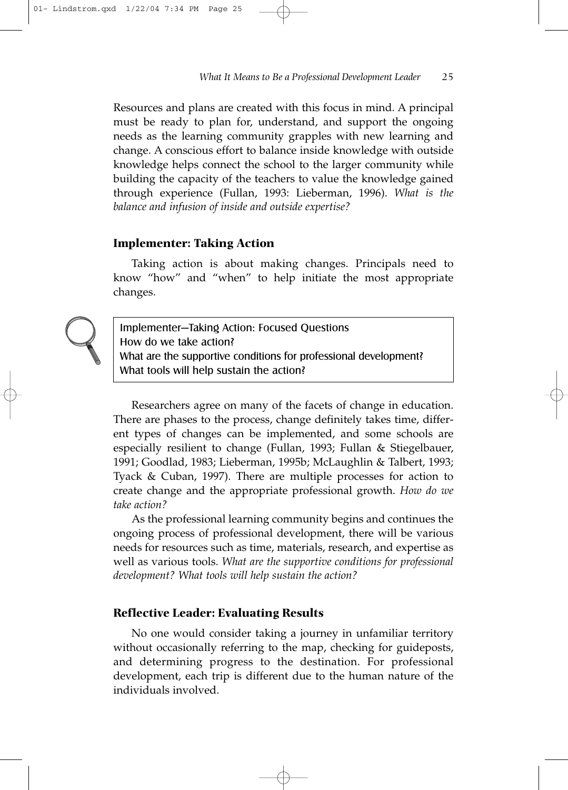Resources and plans are created with this focus in mind. A principal must be ready to plan for, understand, and support the ongoing needs as the learning community grapples with new learning and change. A conscious effort to balance inside knowledge with outside knowledge helps connect the school to the larger community while building the capacity of the teachers to value the knowledge gained through experience (Fullan, 1993: Lieberman, 1996). *What is the balance and infusion of inside and outside expertise?*

#### **Implementer: Taking Action**

Taking action is about making changes. Principals need to know "how" and "when" to help initiate the most appropriate changes.



Implementer—Taking Action: Focused Questions How do we take action? What are the supportive conditions for professional development? What tools will help sustain the action?

Researchers agree on many of the facets of change in education. There are phases to the process, change definitely takes time, different types of changes can be implemented, and some schools are especially resilient to change (Fullan, 1993; Fullan & Stiegelbauer, 1991; Goodlad, 1983; Lieberman, 1995b; McLaughlin & Talbert, 1993; Tyack & Cuban, 1997). There are multiple processes for action to create change and the appropriate professional growth. *How do we take action?*

As the professional learning community begins and continues the ongoing process of professional development, there will be various needs for resources such as time, materials, research, and expertise as well as various tools. *What are the supportive conditions for professional development? What tools will help sustain the action?*

## **Reflective Leader: Evaluating Results**

No one would consider taking a journey in unfamiliar territory without occasionally referring to the map, checking for guideposts, and determining progress to the destination. For professional development, each trip is different due to the human nature of the individuals involved.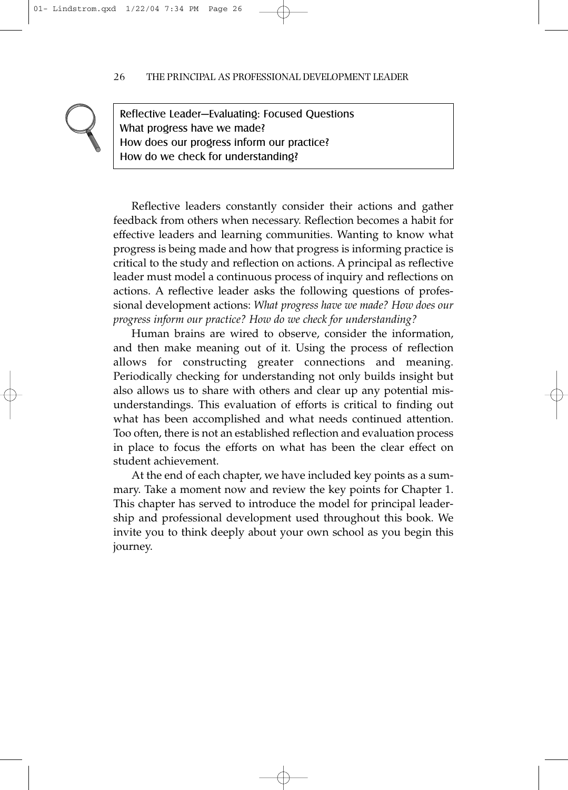

Reflective Leader—Evaluating: Focused Questions What progress have we made? How does our progress inform our practice? How do we check for understanding?

Reflective leaders constantly consider their actions and gather feedback from others when necessary. Reflection becomes a habit for effective leaders and learning communities. Wanting to know what progress is being made and how that progress is informing practice is critical to the study and reflection on actions. A principal as reflective leader must model a continuous process of inquiry and reflections on actions. A reflective leader asks the following questions of professional development actions: *What progress have we made? How does our progress inform our practice? How do we check for understanding?*

Human brains are wired to observe, consider the information, and then make meaning out of it. Using the process of reflection allows for constructing greater connections and meaning. Periodically checking for understanding not only builds insight but also allows us to share with others and clear up any potential misunderstandings. This evaluation of efforts is critical to finding out what has been accomplished and what needs continued attention. Too often, there is not an established reflection and evaluation process in place to focus the efforts on what has been the clear effect on student achievement.

At the end of each chapter, we have included key points as a summary. Take a moment now and review the key points for Chapter 1. This chapter has served to introduce the model for principal leadership and professional development used throughout this book. We invite you to think deeply about your own school as you begin this journey.